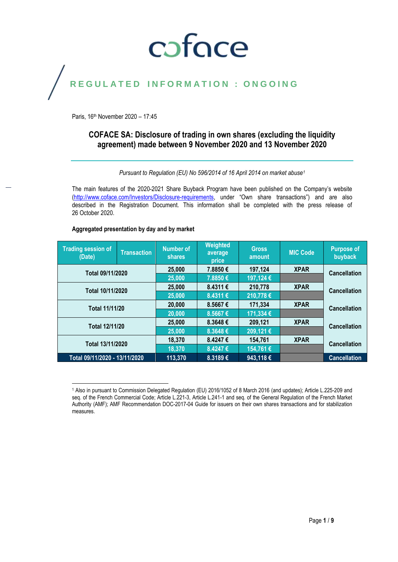# coface

## REGULATED INFORMATION : ONGOING

Paris, 16th November 2020 – 17:45

## **COFACE SA: Disclosure of trading in own shares (excluding the liquidity agreement) made between 9 November 2020 and 13 November 2020**

*Pursuant to Regulation (EU) No 596/2014 of 16 April 2014 on market abuse<sup>1</sup>*

The main features of the 2020-2021 Share Buyback Program have been published on the Company's website [\(http://www.coface.com/Investors/Disclosure-requirements](http://www.coface.com/Investors/Disclosure-requirements), under "Own share transactions") and are also described in the Registration Document. This information shall be completed with the press release of 26 October 2020.

#### **Aggregated presentation by day and by market**

| <b>Trading session of</b><br>(Date) | <b>Transaction</b> | <b>Number of</b><br><b>shares</b> | <b>Weighted</b><br>average<br>price | <b>Gross</b><br>amount | <b>MIC Code</b> | <b>Purpose of</b><br>buyback |
|-------------------------------------|--------------------|-----------------------------------|-------------------------------------|------------------------|-----------------|------------------------------|
| Total 09/11/2020                    |                    | 25,000                            | 7.8850€                             | 197,124                | <b>XPAR</b>     | <b>Cancellation</b>          |
|                                     |                    | 25,000                            | 7.8850€                             | 197,124 €              |                 |                              |
| Total 10/11/2020                    |                    | 25,000                            | 8.4311€                             | 210,778                | <b>XPAR</b>     | <b>Cancellation</b>          |
|                                     |                    | 25,000                            | 8.4311€                             | 210,778€               |                 |                              |
| <b>Total 11/11/20</b>               |                    | 20,000                            | 8.5667€                             | 171,334                | <b>XPAR</b>     | <b>Cancellation</b>          |
|                                     |                    | 20,000                            | 8.5667€                             | 171,334 €              |                 |                              |
| Total 12/11/20                      |                    | 25,000                            | 8.3648€                             | 209,121                | <b>XPAR</b>     | <b>Cancellation</b>          |
|                                     |                    | 25,000                            | 8.3648€                             | 209,121€               |                 |                              |
| Total 13/11/2020                    |                    | 18,370                            | 8.4247€                             | 154,761                | <b>XPAR</b>     | <b>Cancellation</b>          |
|                                     |                    | 18,370                            | 8.4247€                             | 154,761 €              |                 |                              |
| Total 09/11/2020 - 13/11/2020       |                    | 113,370                           | 8.3189€                             | 943,118€               |                 | <b>Cancellation</b>          |

 $\overline{\phantom{a}}$ <sup>1</sup> Also in pursuant to Commission Delegated Regulation (EU) 2016/1052 of 8 March 2016 (and updates); Article L.225-209 and seq. of the French Commercial Code; Article L.221-3, Article L.241-1 and seq. of the General Regulation of the French Market Authority (AMF); AMF Recommendation DOC-2017-04 Guide for issuers on their own shares transactions and for stabilization measures.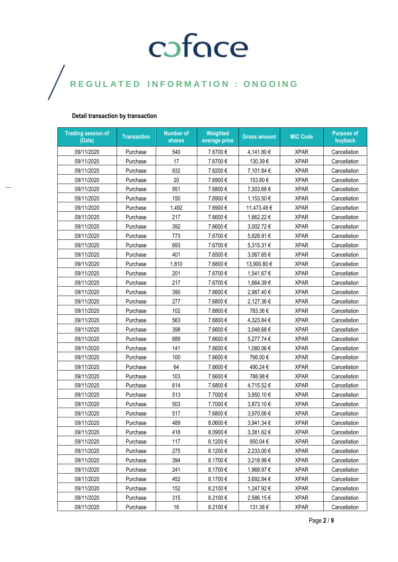### **Detail transaction by transaction**

| <b>Trading session of</b><br>(Date) | <b>Transaction</b> | <b>Number of</b><br>shares | Weighted<br>average price | <b>Gross amount</b> | <b>MIC Code</b> | <b>Purpose of</b><br>buyback |
|-------------------------------------|--------------------|----------------------------|---------------------------|---------------------|-----------------|------------------------------|
| 09/11/2020                          | Purchase           | 540                        | 7.6700€                   | 4,141.80 €          | <b>XPAR</b>     | Cancellation                 |
| 09/11/2020                          | Purchase           | 17                         | 7.6700€                   | 130.39€             | <b>XPAR</b>     | Cancellation                 |
| 09/11/2020                          | Purchase           | 932                        | 7.6200€                   | 7,101.84 €          | <b>XPAR</b>     | Cancellation                 |
| 09/11/2020                          | Purchase           | 20                         | 7.6900€                   | 153.80€             | <b>XPAR</b>     | Cancellation                 |
| 09/11/2020                          | Purchase           | 951                        | 7.6800€                   | 7,303.68€           | <b>XPAR</b>     | Cancellation                 |
| 09/11/2020                          | Purchase           | 150                        | 7.6900€                   | 1,153.50€           | <b>XPAR</b>     | Cancellation                 |
| 09/11/2020                          | Purchase           | 1,492                      | 7.6900€                   | 11,473.48€          | <b>XPAR</b>     | Cancellation                 |
| 09/11/2020                          | Purchase           | 217                        | 7.6600€                   | 1,662.22 €          | <b>XPAR</b>     | Cancellation                 |
| 09/11/2020                          | Purchase           | 392                        | 7.6600€                   | 3,002.72€           | <b>XPAR</b>     | Cancellation                 |
| 09/11/2020                          | Purchase           | 773                        | 7.6700€                   | 5,928.91€           | <b>XPAR</b>     | Cancellation                 |
| 09/11/2020                          | Purchase           | 693                        | 7.6700€                   | 5,315.31€           | <b>XPAR</b>     | Cancellation                 |
| 09/11/2020                          | Purchase           | 401                        | 7.6500€                   | 3,067.65€           | <b>XPAR</b>     | Cancellation                 |
| 09/11/2020                          | Purchase           | 1,810                      | 7.6800€                   | 13,900.80 €         | <b>XPAR</b>     | Cancellation                 |
| 09/11/2020                          | Purchase           | 201                        | 7.6700€                   | 1,541.67 €          | <b>XPAR</b>     | Cancellation                 |
| 09/11/2020                          | Purchase           | 217                        | 7.6700€                   | 1,664.39€           | <b>XPAR</b>     | Cancellation                 |
| 09/11/2020                          | Purchase           | 390                        | 7.6600€                   | 2,987.40€           | <b>XPAR</b>     | Cancellation                 |
| 09/11/2020                          | Purchase           | 277                        | 7.6800€                   | 2,127.36€           | <b>XPAR</b>     | Cancellation                 |
| 09/11/2020                          | Purchase           | 102                        | 7.6800€                   | 783.36€             | <b>XPAR</b>     | Cancellation                 |
| 09/11/2020                          | Purchase           | 563                        | 7.6800€                   | 4,323.84 €          | <b>XPAR</b>     | Cancellation                 |
| 09/11/2020                          | Purchase           | 398                        | 7.6600€                   | 3,048.68€           | <b>XPAR</b>     | Cancellation                 |
| 09/11/2020                          | Purchase           | 689                        | 7.6600€                   | 5,277.74 €          | <b>XPAR</b>     | Cancellation                 |
| 09/11/2020                          | Purchase           | 141                        | 7.6600€                   | 1,080.06 €          | <b>XPAR</b>     | Cancellation                 |
| 09/11/2020                          | Purchase           | 100                        | 7.6600€                   | 766.00€             | <b>XPAR</b>     | Cancellation                 |
| 09/11/2020                          | Purchase           | 64                         | 7.6600€                   | 490.24€             | <b>XPAR</b>     | Cancellation                 |
| 09/11/2020                          | Purchase           | 103                        | 7.6600€                   | 788.98€             | <b>XPAR</b>     | Cancellation                 |
| 09/11/2020                          | Purchase           | 614                        | 7.6800€                   | 4,715.52€           | <b>XPAR</b>     | Cancellation                 |
| 09/11/2020                          | Purchase           | 513                        | 7.7000€                   | 3,950.10 €          | <b>XPAR</b>     | Cancellation                 |
| 09/11/2020                          | Purchase           | 503                        | 7.7000€                   | 3,873.10 €          | <b>XPAR</b>     | Cancellation                 |
| 09/11/2020                          | Purchase           | 517                        | 7.6800€                   | 3,970.56€           | <b>XPAR</b>     | Cancellation                 |
| 09/11/2020                          | Purchase           | 489                        | 8.0600€                   | 3,941.34 €          | <b>XPAR</b>     | Cancellation                 |
| 09/11/2020                          | Purchase           | 418                        | 8.0900€                   | 3,381.62€           | <b>XPAR</b>     | Cancellation                 |
| 09/11/2020                          | Purchase           | 117                        | 8.1200€                   | 950.04€             | <b>XPAR</b>     | Cancellation                 |
| 09/11/2020                          | Purchase           | 275                        | 8.1200€                   | 2,233.00 €          | <b>XPAR</b>     | Cancellation                 |
| 09/11/2020                          | Purchase           | 394                        | 8.1700€                   | 3,218.98€           | <b>XPAR</b>     | Cancellation                 |
| 09/11/2020                          | Purchase           | 241                        | 8.1700€                   | 1,968.97 €          | <b>XPAR</b>     | Cancellation                 |
| 09/11/2020                          | Purchase           | 452                        | 8.1700€                   | 3,692.84 €          | <b>XPAR</b>     | Cancellation                 |
| 09/11/2020                          | Purchase           | 152                        | 8.2100€                   | 1,247.92€           | <b>XPAR</b>     | Cancellation                 |
| 09/11/2020                          | Purchase           | 315                        | 8.2100€                   | 2,586.15€           | <b>XPAR</b>     | Cancellation                 |
| 09/11/2020                          | Purchase           | 16                         | 8.2100€                   | 131.36€             | <b>XPAR</b>     | Cancellation                 |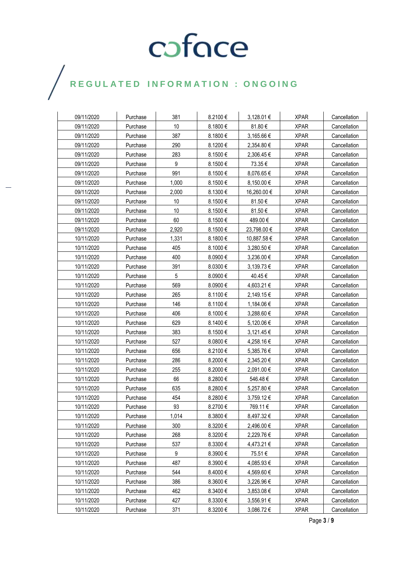## $\bigg)$

| 09/11/2020 | Purchase | 381   | 8.2100€ | 3,128.01 €  | <b>XPAR</b> | Cancellation |
|------------|----------|-------|---------|-------------|-------------|--------------|
| 09/11/2020 | Purchase | 10    | 8.1800€ | 81.80€      | <b>XPAR</b> | Cancellation |
| 09/11/2020 | Purchase | 387   | 8.1800€ | 3,165.66 €  | <b>XPAR</b> | Cancellation |
| 09/11/2020 | Purchase | 290   | 8.1200€ | 2,354.80 €  | <b>XPAR</b> | Cancellation |
| 09/11/2020 | Purchase | 283   | 8.1500€ | 2,306.45 €  | <b>XPAR</b> | Cancellation |
| 09/11/2020 | Purchase | 9     | 8.1500€ | 73.35€      | <b>XPAR</b> | Cancellation |
| 09/11/2020 | Purchase | 991   | 8.1500€ | 8,076.65€   | <b>XPAR</b> | Cancellation |
| 09/11/2020 | Purchase | 1,000 | 8.1500€ | 8,150.00 €  | <b>XPAR</b> | Cancellation |
| 09/11/2020 | Purchase | 2,000 | 8.1300€ | 16,260.00 € | <b>XPAR</b> | Cancellation |
| 09/11/2020 | Purchase | 10    | 8.1500€ | 81.50€      | <b>XPAR</b> | Cancellation |
| 09/11/2020 | Purchase | 10    | 8.1500€ | 81.50€      | <b>XPAR</b> | Cancellation |
| 09/11/2020 | Purchase | 60    | 8.1500€ | 489.00€     | <b>XPAR</b> | Cancellation |
| 09/11/2020 | Purchase | 2,920 | 8.1500€ | 23,798.00 € | <b>XPAR</b> | Cancellation |
| 10/11/2020 | Purchase | 1,331 | 8.1800€ | 10,887.58€  | <b>XPAR</b> | Cancellation |
| 10/11/2020 | Purchase | 405   | 8.1000€ | 3,280.50 €  | <b>XPAR</b> | Cancellation |
| 10/11/2020 | Purchase | 400   | 8.0900€ | 3,236.00 €  | <b>XPAR</b> | Cancellation |
| 10/11/2020 | Purchase | 391   | 8.0300€ | 3,139.73 €  | <b>XPAR</b> | Cancellation |
| 10/11/2020 | Purchase | 5     | 8.0900€ | 40.45€      | <b>XPAR</b> | Cancellation |
| 10/11/2020 | Purchase | 569   | 8.0900€ | 4,603.21 €  | <b>XPAR</b> | Cancellation |
| 10/11/2020 | Purchase | 265   | 8.1100€ | 2,149.15€   | <b>XPAR</b> | Cancellation |
| 10/11/2020 | Purchase | 146   | 8.1100€ | 1,184.06 €  | <b>XPAR</b> | Cancellation |
| 10/11/2020 | Purchase | 406   | 8.1000€ | 3,288.60€   | <b>XPAR</b> | Cancellation |
| 10/11/2020 | Purchase | 629   | 8.1400€ | 5,120.06 €  | <b>XPAR</b> | Cancellation |
| 10/11/2020 | Purchase | 383   | 8.1500€ | 3,121.45 €  | <b>XPAR</b> | Cancellation |
| 10/11/2020 | Purchase | 527   | 8.0800€ | 4,258.16 €  | <b>XPAR</b> | Cancellation |
| 10/11/2020 | Purchase | 656   | 8.2100€ | 5,385.76€   | <b>XPAR</b> | Cancellation |
| 10/11/2020 | Purchase | 286   | 8.2000€ | 2,345.20 €  | <b>XPAR</b> | Cancellation |
| 10/11/2020 | Purchase | 255   | 8.2000€ | 2,091.00 €  | <b>XPAR</b> | Cancellation |
| 10/11/2020 | Purchase | 66    | 8.2800€ | 546.48€     | <b>XPAR</b> | Cancellation |
| 10/11/2020 | Purchase | 635   | 8.2800€ | 5,257.80 €  | <b>XPAR</b> | Cancellation |
| 10/11/2020 | Purchase | 454   | 8.2800€ | 3,759.12 €  | <b>XPAR</b> | Cancellation |
| 10/11/2020 | Purchase | 93    | 8.2700€ | 769.11 €    | <b>XPAR</b> | Cancellation |
| 10/11/2020 | Purchase | 1,014 | 8.3800€ | 8,497.32€   | <b>XPAR</b> | Cancellation |
| 10/11/2020 | Purchase | 300   | 8.3200€ | 2,496.00 €  | <b>XPAR</b> | Cancellation |
| 10/11/2020 | Purchase | 268   | 8.3200€ | 2,229.76€   | <b>XPAR</b> | Cancellation |
| 10/11/2020 | Purchase | 537   | 8.3300€ | 4,473.21 €  | <b>XPAR</b> | Cancellation |
| 10/11/2020 | Purchase | 9     | 8.3900€ | 75.51€      | <b>XPAR</b> | Cancellation |
| 10/11/2020 | Purchase | 487   | 8.3900€ | 4,085.93€   | <b>XPAR</b> | Cancellation |
| 10/11/2020 | Purchase | 544   | 8.4000€ | 4,569.60€   | <b>XPAR</b> | Cancellation |
| 10/11/2020 | Purchase | 386   | 8.3600€ | 3,226.96€   | <b>XPAR</b> | Cancellation |
| 10/11/2020 | Purchase | 462   | 8.3400€ | 3,853.08 €  | <b>XPAR</b> | Cancellation |
| 10/11/2020 | Purchase | 427   | 8.3300€ | 3,556.91 €  | <b>XPAR</b> | Cancellation |
| 10/11/2020 | Purchase | 371   | 8.3200€ | 3,086.72 €  | <b>XPAR</b> | Cancellation |

Page **3** / **9**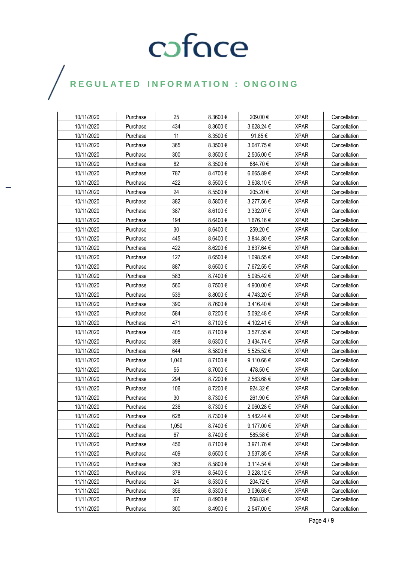| 10/11/2020 | Purchase | 25     | 8.3600€  | 209.00€    | <b>XPAR</b> | Cancellation |
|------------|----------|--------|----------|------------|-------------|--------------|
| 10/11/2020 | Purchase | 434    | 8.3600€  | 3,628.24 € | <b>XPAR</b> | Cancellation |
| 10/11/2020 | Purchase | 11     | 8.3500€  | 91.85€     | <b>XPAR</b> | Cancellation |
| 10/11/2020 | Purchase | 365    | 8.3500€  | 3,047.75 € | <b>XPAR</b> | Cancellation |
| 10/11/2020 | Purchase | 300    | 8.3500€  | 2,505.00 € | <b>XPAR</b> | Cancellation |
| 10/11/2020 | Purchase | 82     | 8.3500€  | 684.70€    | <b>XPAR</b> | Cancellation |
| 10/11/2020 | Purchase | 787    | 8.4700€  | 6,665.89€  | <b>XPAR</b> | Cancellation |
| 10/11/2020 | Purchase | 422    | 8.5500€  | 3,608.10 € | <b>XPAR</b> | Cancellation |
| 10/11/2020 | Purchase | 24     | 8.5500€  | 205.20€    | <b>XPAR</b> | Cancellation |
| 10/11/2020 | Purchase | 382    | 8.5800 € | 3,277.56€  | <b>XPAR</b> | Cancellation |
| 10/11/2020 | Purchase | 387    | 8.6100€  | 3,332.07 € | <b>XPAR</b> | Cancellation |
| 10/11/2020 | Purchase | 194    | 8.6400€  | 1,676.16 € | <b>XPAR</b> | Cancellation |
| 10/11/2020 | Purchase | 30     | 8.6400€  | 259.20€    | <b>XPAR</b> | Cancellation |
| 10/11/2020 | Purchase | 445    | 8.6400€  | 3,844.80 € | <b>XPAR</b> | Cancellation |
| 10/11/2020 | Purchase | 422    | 8.6200€  | 3,637.64 € | <b>XPAR</b> | Cancellation |
| 10/11/2020 | Purchase | 127    | 8.6500€  | 1,098.55 € | <b>XPAR</b> | Cancellation |
| 10/11/2020 | Purchase | 887    | 8.6500€  | 7,672.55 € | <b>XPAR</b> | Cancellation |
| 10/11/2020 | Purchase | 583    | 8.7400€  | 5,095.42 € | <b>XPAR</b> | Cancellation |
| 10/11/2020 | Purchase | 560    | 8.7500€  | 4,900.00 € | <b>XPAR</b> | Cancellation |
| 10/11/2020 | Purchase | 539    | 8.8000€  | 4,743.20 € | <b>XPAR</b> | Cancellation |
| 10/11/2020 | Purchase | 390    | 8.7600€  | 3,416.40 € | <b>XPAR</b> | Cancellation |
| 10/11/2020 | Purchase | 584    | 8.7200€  | 5,092.48 € | <b>XPAR</b> | Cancellation |
| 10/11/2020 | Purchase | 471    | 8.7100€  | 4,102.41 € | <b>XPAR</b> | Cancellation |
| 10/11/2020 | Purchase | 405    | 8.7100€  | 3,527.55 € | <b>XPAR</b> | Cancellation |
| 10/11/2020 | Purchase | 398    | 8.6300€  | 3,434.74 € | <b>XPAR</b> | Cancellation |
| 10/11/2020 | Purchase | 644    | 8.5800€  | 5,525.52€  | <b>XPAR</b> | Cancellation |
| 10/11/2020 | Purchase | 1,046  | 8.7100€  | 9,110.66 € | <b>XPAR</b> | Cancellation |
| 10/11/2020 | Purchase | 55     | 8.7000€  | 478.50€    | <b>XPAR</b> | Cancellation |
| 10/11/2020 | Purchase | 294    | 8.7200€  | 2,563.68€  | <b>XPAR</b> | Cancellation |
| 10/11/2020 | Purchase | 106    | 8.7200€  | 924.32€    | <b>XPAR</b> | Cancellation |
| 10/11/2020 | Purchase | $30\,$ | 8.7300€  | 261.90€    | <b>XPAR</b> | Cancellation |
| 10/11/2020 | Purchase | 236    | 8.7300€  | 2,060.28€  | <b>XPAR</b> | Cancellation |
| 10/11/2020 | Purchase | 628    | 8.7300€  | 5,482.44 € | <b>XPAR</b> | Cancellation |
| 11/11/2020 | Purchase | 1,050  | 8.7400€  | 9,177.00€  | <b>XPAR</b> | Cancellation |
| 11/11/2020 | Purchase | 67     | 8.7400€  | 585.58€    | <b>XPAR</b> | Cancellation |
| 11/11/2020 | Purchase | 456    | 8.7100€  | 3,971.76€  | <b>XPAR</b> | Cancellation |
| 11/11/2020 | Purchase | 409    | 8.6500€  | 3,537.85€  | <b>XPAR</b> | Cancellation |
| 11/11/2020 | Purchase | 363    | 8.5800€  | 3,114.54 € | <b>XPAR</b> | Cancellation |
| 11/11/2020 | Purchase | 378    | 8.5400€  | 3,228.12 € | <b>XPAR</b> | Cancellation |
| 11/11/2020 | Purchase | 24     | 8.5300€  | 204.72€    | <b>XPAR</b> | Cancellation |
| 11/11/2020 | Purchase | 356    | 8.5300€  | 3,036.68€  | <b>XPAR</b> | Cancellation |
| 11/11/2020 | Purchase | 67     | 8.4900€  | 568.83€    | <b>XPAR</b> | Cancellation |
| 11/11/2020 | Purchase | 300    | 8.4900€  | 2,547.00 € | <b>XPAR</b> | Cancellation |

 $\bigg)$ 

Page **4** / **9**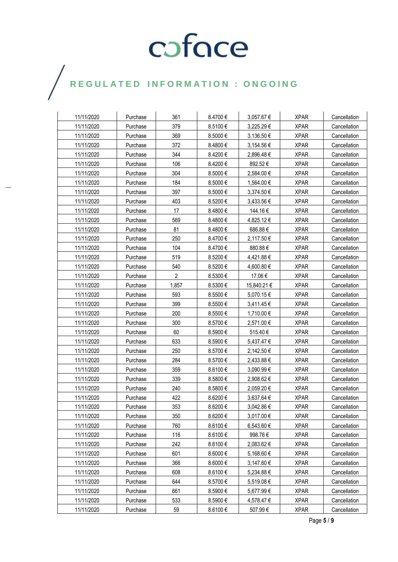## $\bigg)$

| 11/11/2020 | Purchase | 361            | 8.4700€ | 3,057.67 €  | <b>XPAR</b> | Cancellation |
|------------|----------|----------------|---------|-------------|-------------|--------------|
| 11/11/2020 | Purchase | 379            | 8.5100€ | 3,225.29€   | <b>XPAR</b> | Cancellation |
| 11/11/2020 | Purchase | 369            | 8.5000€ | 3,136.50 €  | <b>XPAR</b> | Cancellation |
| 11/11/2020 | Purchase | 372            | 8.4800€ | 3,154.56 €  | <b>XPAR</b> | Cancellation |
| 11/11/2020 | Purchase | 344            | 8.4200€ | 2,896.48 €  | <b>XPAR</b> | Cancellation |
| 11/11/2020 | Purchase | 106            | 8.4200€ | 892.52€     | <b>XPAR</b> | Cancellation |
| 11/11/2020 | Purchase | 304            | 8.5000€ | 2,584.00 €  | <b>XPAR</b> | Cancellation |
| 11/11/2020 | Purchase | 184            | 8.5000€ | 1,564.00 €  | <b>XPAR</b> | Cancellation |
| 11/11/2020 | Purchase | 397            | 8.5000€ | 3,374.50 €  | <b>XPAR</b> | Cancellation |
| 11/11/2020 | Purchase | 403            | 8.5200€ | 3,433.56 €  | <b>XPAR</b> | Cancellation |
| 11/11/2020 | Purchase | 17             | 8.4800€ | 144.16€     | <b>XPAR</b> | Cancellation |
| 11/11/2020 | Purchase | 569            | 8.4800€ | 4,825.12 €  | <b>XPAR</b> | Cancellation |
| 11/11/2020 | Purchase | 81             | 8.4800€ | 686.88€     | <b>XPAR</b> | Cancellation |
| 11/11/2020 | Purchase | 250            | 8.4700€ | 2,117.50 €  | <b>XPAR</b> | Cancellation |
| 11/11/2020 | Purchase | 104            | 8.4700€ | 880.88€     | <b>XPAR</b> | Cancellation |
| 11/11/2020 | Purchase | 519            | 8.5200€ | 4,421.88€   | <b>XPAR</b> | Cancellation |
| 11/11/2020 | Purchase | 540            | 8.5200€ | 4,600.80 €  | <b>XPAR</b> | Cancellation |
| 11/11/2020 | Purchase | $\overline{2}$ | 8.5300€ | 17.06€      | <b>XPAR</b> | Cancellation |
| 11/11/2020 | Purchase | 1,857          | 8.5300€ | 15,840.21 € | <b>XPAR</b> | Cancellation |
| 11/11/2020 | Purchase | 593            | 8.5500€ | 5,070.15€   | <b>XPAR</b> | Cancellation |
| 11/11/2020 | Purchase | 399            | 8.5500€ | 3,411.45 €  | <b>XPAR</b> | Cancellation |
| 11/11/2020 | Purchase | 200            | 8.5500€ | 1,710.00 €  | <b>XPAR</b> | Cancellation |
| 11/11/2020 | Purchase | 300            | 8.5700€ | 2,571.00 €  | <b>XPAR</b> | Cancellation |
| 11/11/2020 | Purchase | 60             | 8.5900€ | 515.40€     | <b>XPAR</b> | Cancellation |
| 11/11/2020 | Purchase | 633            | 8.5900€ | 5,437.47 €  | <b>XPAR</b> | Cancellation |
| 11/11/2020 | Purchase | 250            | 8.5700€ | 2,142.50 €  | <b>XPAR</b> | Cancellation |
| 11/11/2020 | Purchase | 284            | 8.5700€ | 2,433.88 €  | <b>XPAR</b> | Cancellation |
| 11/11/2020 | Purchase | 359            | 8.6100€ | 3,090.99 €  | <b>XPAR</b> | Cancellation |
| 11/11/2020 | Purchase | 339            | 8.5800€ | 2,908.62 €  | <b>XPAR</b> | Cancellation |
| 11/11/2020 | Purchase | 240            | 8.5800€ | 2,059.20 €  | <b>XPAR</b> | Cancellation |
| 11/11/2020 | Purchase | 422            | 8.6200€ | 3,637.64 €  | <b>XPAR</b> | Cancellation |
| 11/11/2020 | Purchase | 353            | 8.6200€ | 3,042.86 €  | <b>XPAR</b> | Cancellation |
| 11/11/2020 | Purchase | 350            | 8.6200€ | 3,017.00 €  | <b>XPAR</b> | Cancellation |
| 11/11/2020 | Purchase | 760            | 8.6100€ | 6,543.60€   | <b>XPAR</b> | Cancellation |
| 11/11/2020 | Purchase | 116            | 8.6100€ | 998.76€     | <b>XPAR</b> | Cancellation |
| 11/11/2020 | Purchase | 242            | 8.6100€ | 2,083.62€   | <b>XPAR</b> | Cancellation |
| 11/11/2020 | Purchase | 601            | 8.6000€ | 5,168.60 €  | <b>XPAR</b> | Cancellation |
| 11/11/2020 | Purchase | 366            | 8.6000€ | 3,147.60 €  | <b>XPAR</b> | Cancellation |
| 11/11/2020 | Purchase | 608            | 8.6100€ | 5,234.88€   | <b>XPAR</b> | Cancellation |
| 11/11/2020 | Purchase | 644            | 8.5700€ | 5,519.08€   | <b>XPAR</b> | Cancellation |
| 11/11/2020 | Purchase | 661            | 8.5900€ | 5,677.99€   | <b>XPAR</b> | Cancellation |
| 11/11/2020 | Purchase | 533            | 8.5900€ | 4,578.47€   | <b>XPAR</b> | Cancellation |
| 11/11/2020 | Purchase | 59             | 8.6100€ | 507.99€     | <b>XPAR</b> | Cancellation |

Page **5** / **9**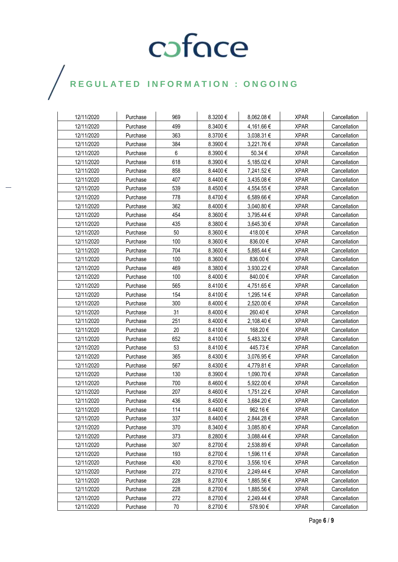## $\bigg)$

| 12/11/2020 | Purchase | 969 | 8.3200€      | 8,062.08€  | <b>XPAR</b> | Cancellation |
|------------|----------|-----|--------------|------------|-------------|--------------|
| 12/11/2020 | Purchase | 499 | 8.3400€      | 4,161.66 € | <b>XPAR</b> | Cancellation |
| 12/11/2020 | Purchase | 363 | 8.3700€      | 3,038.31 € | <b>XPAR</b> | Cancellation |
| 12/11/2020 | Purchase | 384 | 8.3900€      | 3,221.76 € | <b>XPAR</b> | Cancellation |
| 12/11/2020 | Purchase | 6   | 8.3900€      | 50.34 €    | <b>XPAR</b> | Cancellation |
| 12/11/2020 | Purchase | 618 | 8.3900€      | 5,185.02€  | <b>XPAR</b> | Cancellation |
| 12/11/2020 | Purchase | 858 | 8.4400€      | 7,241.52 € | <b>XPAR</b> | Cancellation |
| 12/11/2020 | Purchase | 407 | 8.4400€      | 3,435.08€  | <b>XPAR</b> | Cancellation |
| 12/11/2020 | Purchase | 539 | 8.4500€      | 4,554.55 € | <b>XPAR</b> | Cancellation |
| 12/11/2020 | Purchase | 778 | 8.4700€      | 6,589.66 € | <b>XPAR</b> | Cancellation |
| 12/11/2020 | Purchase | 362 | 8.4000€      | 3,040.80 € | <b>XPAR</b> | Cancellation |
| 12/11/2020 | Purchase | 454 | 8.3600€      | 3,795.44 € | <b>XPAR</b> | Cancellation |
| 12/11/2020 | Purchase | 435 | 8.3800€      | 3,645.30 € | <b>XPAR</b> | Cancellation |
| 12/11/2020 | Purchase | 50  | 8.3600 $\in$ | 418.00€    | <b>XPAR</b> | Cancellation |
| 12/11/2020 | Purchase | 100 | 8.3600€      | 836.00€    | <b>XPAR</b> | Cancellation |
| 12/11/2020 | Purchase | 704 | 8.3600€      | 5,885.44 € | <b>XPAR</b> | Cancellation |
| 12/11/2020 | Purchase | 100 | 8.3600€      | 836.00€    | <b>XPAR</b> | Cancellation |
| 12/11/2020 | Purchase | 469 | 8.3800€      | 3,930.22 € | <b>XPAR</b> | Cancellation |
| 12/11/2020 | Purchase | 100 | 8.4000€      | 840.00€    | <b>XPAR</b> | Cancellation |
| 12/11/2020 | Purchase | 565 | 8.4100€      | 4,751.65€  | <b>XPAR</b> | Cancellation |
| 12/11/2020 | Purchase | 154 | 8.4100€      | 1,295.14 € | <b>XPAR</b> | Cancellation |
| 12/11/2020 | Purchase | 300 | 8.4000€      | 2,520.00 € | <b>XPAR</b> | Cancellation |
| 12/11/2020 | Purchase | 31  | 8.4000€      | 260.40€    | <b>XPAR</b> | Cancellation |
| 12/11/2020 | Purchase | 251 | 8.4000€      | 2,108.40 € | <b>XPAR</b> | Cancellation |
| 12/11/2020 | Purchase | 20  | 8.4100€      | 168.20€    | <b>XPAR</b> | Cancellation |
| 12/11/2020 | Purchase | 652 | 8.4100€      | 5,483.32 € | <b>XPAR</b> | Cancellation |
| 12/11/2020 | Purchase | 53  | 8.4100€      | 445.73€    | <b>XPAR</b> | Cancellation |
| 12/11/2020 | Purchase | 365 | 8.4300€      | 3,076.95 € | <b>XPAR</b> | Cancellation |
| 12/11/2020 | Purchase | 567 | 8.4300 €     | 4,779.81 € | <b>XPAR</b> | Cancellation |
| 12/11/2020 | Purchase | 130 | 8.3900€      | 1,090.70 € | <b>XPAR</b> | Cancellation |
| 12/11/2020 | Purchase | 700 | 8.4600€      | 5,922.00 € | <b>XPAR</b> | Cancellation |
| 12/11/2020 | Purchase | 207 | 8.4600€      | 1,751.22 € | <b>XPAR</b> | Cancellation |
| 12/11/2020 | Purchase | 436 | 8.4500€      | 3,684.20€  | <b>XPAR</b> | Cancellation |
| 12/11/2020 | Purchase | 114 | 8.4400€      | 962.16€    | <b>XPAR</b> | Cancellation |
| 12/11/2020 | Purchase | 337 | 8.4400€      | 2,844.28€  | <b>XPAR</b> | Cancellation |
| 12/11/2020 | Purchase | 370 | 8.3400€      | 3,085.80 € | <b>XPAR</b> | Cancellation |
| 12/11/2020 | Purchase | 373 | 8.2800€      | 3,088.44 € | <b>XPAR</b> | Cancellation |
| 12/11/2020 | Purchase | 307 | 8.2700€      | 2,538.89€  | <b>XPAR</b> | Cancellation |
| 12/11/2020 | Purchase | 193 | 8.2700€      | 1,596.11€  | <b>XPAR</b> | Cancellation |
| 12/11/2020 | Purchase | 430 | 8.2700€      | 3,556.10 € | <b>XPAR</b> | Cancellation |
| 12/11/2020 | Purchase | 272 | 8.2700€      | 2,249.44 € | <b>XPAR</b> | Cancellation |
| 12/11/2020 | Purchase | 228 | 8.2700€      | 1,885.56 € | <b>XPAR</b> | Cancellation |
| 12/11/2020 | Purchase | 228 | 8.2700€      | 1,885.56€  | <b>XPAR</b> | Cancellation |
| 12/11/2020 | Purchase | 272 | 8.2700€      | 2,249.44 € | <b>XPAR</b> | Cancellation |
| 12/11/2020 | Purchase | 70  | 8.2700€      | 578.90€    | <b>XPAR</b> | Cancellation |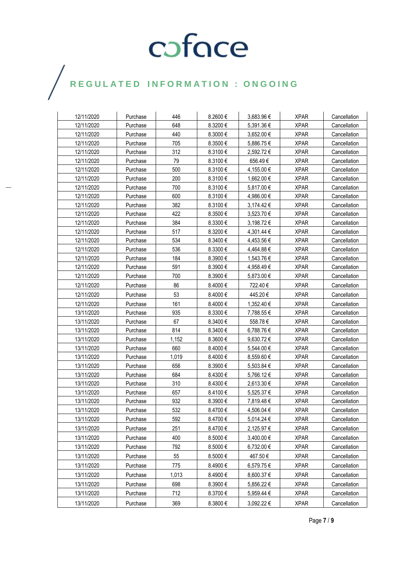## $\bigg)$

| 12/11/2020 | Purchase | 446   | 8.2600€  | 3,683.96€  | <b>XPAR</b> | Cancellation |
|------------|----------|-------|----------|------------|-------------|--------------|
| 12/11/2020 | Purchase | 648   | 8.3200€  | 5,391.36€  | <b>XPAR</b> | Cancellation |
| 12/11/2020 | Purchase | 440   | 8.3000€  | 3,652.00 € | <b>XPAR</b> | Cancellation |
| 12/11/2020 | Purchase | 705   | 8.3500€  | 5,886.75€  | <b>XPAR</b> | Cancellation |
| 12/11/2020 | Purchase | 312   | 8.3100€  | 2,592.72€  | <b>XPAR</b> | Cancellation |
| 12/11/2020 | Purchase | 79    | 8.3100€  | 656.49€    | <b>XPAR</b> | Cancellation |
| 12/11/2020 | Purchase | 500   | 8.3100€  | 4,155.00 € | <b>XPAR</b> | Cancellation |
| 12/11/2020 | Purchase | 200   | 8.3100€  | 1,662.00 € | <b>XPAR</b> | Cancellation |
| 12/11/2020 | Purchase | 700   | 8.3100€  | 5,817.00€  | <b>XPAR</b> | Cancellation |
| 12/11/2020 | Purchase | 600   | 8.3100€  | 4,986.00 € | <b>XPAR</b> | Cancellation |
| 12/11/2020 | Purchase | 382   | 8.3100€  | 3,174.42 € | <b>XPAR</b> | Cancellation |
| 12/11/2020 | Purchase | 422   | 8.3500€  | 3,523.70 € | <b>XPAR</b> | Cancellation |
| 12/11/2020 | Purchase | 384   | 8.3300€  | 3,198.72 € | <b>XPAR</b> | Cancellation |
| 12/11/2020 | Purchase | 517   | 8.3200€  | 4,301.44 € | <b>XPAR</b> | Cancellation |
| 12/11/2020 | Purchase | 534   | 8.3400€  | 4,453.56 € | <b>XPAR</b> | Cancellation |
| 12/11/2020 | Purchase | 536   | 8.3300€  | 4,464.88€  | <b>XPAR</b> | Cancellation |
| 12/11/2020 | Purchase | 184   | 8.3900€  | 1,543.76 € | <b>XPAR</b> | Cancellation |
| 12/11/2020 | Purchase | 591   | 8.3900€  | 4,958.49€  | <b>XPAR</b> | Cancellation |
| 12/11/2020 | Purchase | 700   | 8.3900€  | 5.873.00 € | <b>XPAR</b> | Cancellation |
| 12/11/2020 | Purchase | 86    | 8.4000€  | 722.40€    | <b>XPAR</b> | Cancellation |
| 12/11/2020 | Purchase | 53    | 8.4000€  | 445.20€    | <b>XPAR</b> | Cancellation |
| 12/11/2020 | Purchase | 161   | 8.4000€  | 1,352.40 € | <b>XPAR</b> | Cancellation |
| 13/11/2020 | Purchase | 935   | 8.3300€  | 7,788.55 € | <b>XPAR</b> | Cancellation |
| 13/11/2020 | Purchase | 67    | 8.3400€  | 558.78€    | <b>XPAR</b> | Cancellation |
| 13/11/2020 | Purchase | 814   | 8.3400€  | 6,788.76€  | <b>XPAR</b> | Cancellation |
| 13/11/2020 | Purchase | 1,152 | 8.3600€  | 9,630.72€  | <b>XPAR</b> | Cancellation |
| 13/11/2020 | Purchase | 660   | 8.4000 € | 5,544.00 € | <b>XPAR</b> | Cancellation |
| 13/11/2020 | Purchase | 1.019 | 8.4000€  | 8,559.60 € | <b>XPAR</b> | Cancellation |
| 13/11/2020 | Purchase | 656   | 8.3900€  | 5,503.84 € | <b>XPAR</b> | Cancellation |
| 13/11/2020 | Purchase | 684   | 8.4300€  | 5,766.12 € | <b>XPAR</b> | Cancellation |
| 13/11/2020 | Purchase | 310   | 8.4300€  | 2,613.30 € | <b>XPAR</b> | Cancellation |
| 13/11/2020 | Purchase | 657   | 8.4100€  | 5,525.37€  | <b>XPAR</b> | Cancellation |
| 13/11/2020 | Purchase | 932   | 8.3900€  | 7,819.48€  | <b>XPAR</b> | Cancellation |
| 13/11/2020 | Purchase | 532   | 8.4700€  | 4,506.04 € | <b>XPAR</b> | Cancellation |
| 13/11/2020 | Purchase | 592   | 8.4700€  | 5,014.24 € | <b>XPAR</b> | Cancellation |
| 13/11/2020 | Purchase | 251   | 8.4700€  | 2,125.97€  | <b>XPAR</b> | Cancellation |
| 13/11/2020 | Purchase | 400   | 8.5000€  | 3,400.00 € | <b>XPAR</b> | Cancellation |
| 13/11/2020 | Purchase | 792   | 8.5000€  | 6,732.00 € | <b>XPAR</b> | Cancellation |
| 13/11/2020 | Purchase | 55    | 8.5000€  | 467.50€    | <b>XPAR</b> | Cancellation |
| 13/11/2020 | Purchase | 775   | 8.4900€  | 6,579.75€  | <b>XPAR</b> | Cancellation |
| 13/11/2020 | Purchase | 1,013 | 8.4900€  | 8,600.37 € | <b>XPAR</b> | Cancellation |
| 13/11/2020 | Purchase | 698   | 8.3900€  | 5,856.22€  | <b>XPAR</b> | Cancellation |
| 13/11/2020 | Purchase | 712   | 8.3700€  | 5,959.44 € | <b>XPAR</b> | Cancellation |
| 13/11/2020 | Purchase | 369   | 8.3800€  | 3,092.22 € | <b>XPAR</b> | Cancellation |
|            |          |       |          |            |             |              |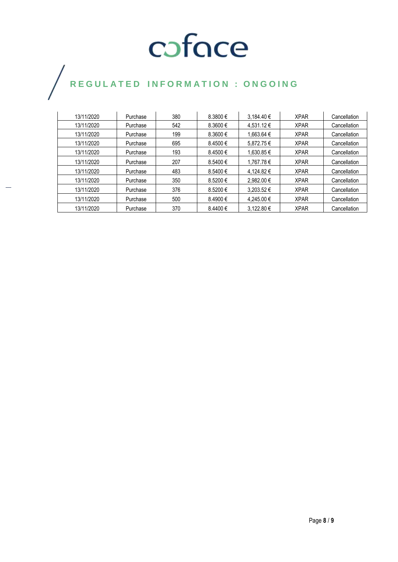## $\bigg)$

| 13/11/2020 | Purchase | 380 | $8.3800 \in$ | 3.184.40 €     | <b>XPAR</b> | Cancellation |
|------------|----------|-----|--------------|----------------|-------------|--------------|
| 13/11/2020 | Purchase | 542 | $8.3600 \in$ | 4.531.12 €     | <b>XPAR</b> | Cancellation |
| 13/11/2020 | Purchase | 199 | $8.3600 \in$ | 1.663.64 €     | <b>XPAR</b> | Cancellation |
| 13/11/2020 | Purchase | 695 | 8.4500€      | 5.872.75€      | <b>XPAR</b> | Cancellation |
| 13/11/2020 | Purchase | 193 | 8.4500€      | 1.630.85 €     | <b>XPAR</b> | Cancellation |
| 13/11/2020 | Purchase | 207 | 8.5400€      | 1.767.78€      | <b>XPAR</b> | Cancellation |
| 13/11/2020 | Purchase | 483 | 8.5400€      | 4.124.82 €     | <b>XPAR</b> | Cancellation |
| 13/11/2020 | Purchase | 350 | 8.5200€      | 2.982.00 €     | <b>XPAR</b> | Cancellation |
| 13/11/2020 | Purchase | 376 | 8.5200€      | $3.203.52 \in$ | <b>XPAR</b> | Cancellation |
| 13/11/2020 | Purchase | 500 | 8.4900€      | 4.245.00 €     | <b>XPAR</b> | Cancellation |
| 13/11/2020 | Purchase | 370 | 8.4400€      | 3.122.80 €     | <b>XPAR</b> | Cancellation |